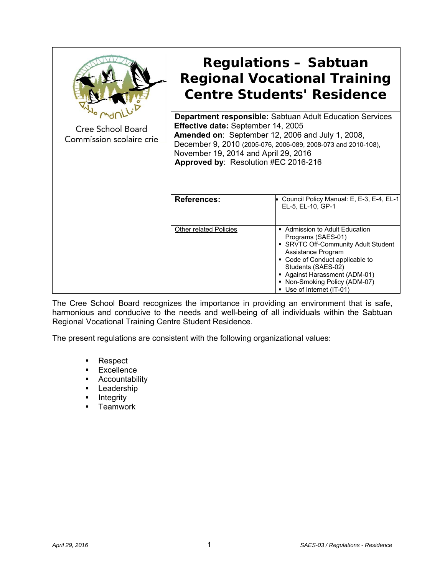| <b>Cree School Board</b><br>Commission scolaire crie | <b>Regulations - Sabtuan</b><br><b>Regional Vocational Training</b><br><b>Centre Students' Residence</b>                                                                                                                                                                                                   |                                                                                                                                                                                                                                                                       |
|------------------------------------------------------|------------------------------------------------------------------------------------------------------------------------------------------------------------------------------------------------------------------------------------------------------------------------------------------------------------|-----------------------------------------------------------------------------------------------------------------------------------------------------------------------------------------------------------------------------------------------------------------------|
|                                                      | <b>Department responsible:</b> Sabtuan Adult Education Services<br>Effective date: September 14, 2005<br>Amended on: September 12, 2006 and July 1, 2008,<br>December 9, 2010 (2005-076, 2006-089, 2008-073 and 2010-108),<br>November 19, 2014 and April 29, 2016<br>Approved by: Resolution #EC 2016-216 |                                                                                                                                                                                                                                                                       |
|                                                      | <b>References:</b>                                                                                                                                                                                                                                                                                         | • Council Policy Manual: E, E-3, E-4, EL-1,<br>EL-5, EL-10, GP-1                                                                                                                                                                                                      |
|                                                      | Other related Policies                                                                                                                                                                                                                                                                                     | • Admission to Adult Education<br>Programs (SAES-01)<br>• SRVTC Off-Community Adult Student<br>Assistance Program<br>• Code of Conduct applicable to<br>Students (SAES-02)<br>Against Harassment (ADM-01)<br>• Non-Smoking Policy (ADM-07)<br>Use of Internet (IT-01) |

The Cree School Board recognizes the importance in providing an environment that is safe, harmonious and conducive to the needs and well-being of all individuals within the Sabtuan Regional Vocational Training Centre Student Residence.

The present regulations are consistent with the following organizational values:

- **Respect**
- **Excellence**
- **-** Accountability
- **-** Leadership
- **-** Integrity
- $\blacksquare$  Teamwork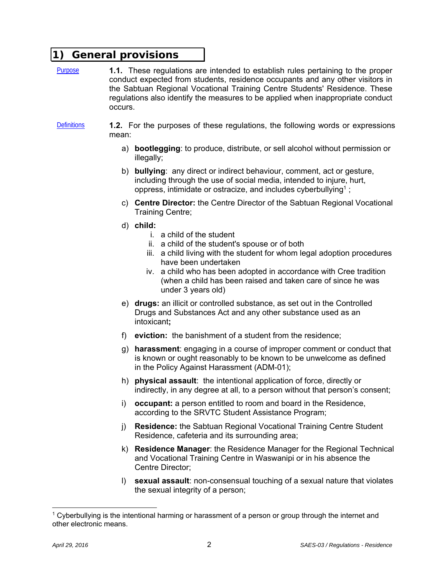### **1) General provisions**

Purpose **1.1.** These regulations are intended to establish rules pertaining to the proper conduct expected from students, residence occupants and any other visitors in the Sabtuan Regional Vocational Training Centre Students' Residence. These regulations also identify the measures to be applied when inappropriate conduct occurs.

Definitions **1.2.** For the purposes of these regulations, the following words or expressions mean:

- a) **bootlegging**: to produce, distribute, or sell alcohol without permission or illegally;
- b) **bullying**: any direct or indirect behaviour, comment, act or gesture, including through the use of social media, intended to injure, hurt, oppress, intimidate or ostracize, and includes cyberbullying<sup>1</sup>;
- c) **Centre Director:** the Centre Director of the Sabtuan Regional Vocational Training Centre;
- d) **child:** 
	- i. a child of the student
	- ii. a child of the student's spouse or of both
	- iii. a child living with the student for whom legal adoption procedures have been undertaken
	- iv. a child who has been adopted in accordance with Cree tradition (when a child has been raised and taken care of since he was under 3 years old)
- e) **drugs:** an illicit or controlled substance, as set out in the Controlled Drugs and Substances Act and any other substance used as an intoxicant**;**
- f) **eviction:** the banishment of a student from the residence;
- g) **harassment**: engaging in a course of improper comment or conduct that is known or ought reasonably to be known to be unwelcome as defined in the Policy Against Harassment (ADM-01);
- h) **physical assault**: the intentional application of force, directly or indirectly, in any degree at all, to a person without that person's consent;
- i) **occupant:** a person entitled to room and board in the Residence, according to the SRVTC Student Assistance Program;
- j) **Residence:** the Sabtuan Regional Vocational Training Centre Student Residence, cafeteria and its surrounding area;
- k) **Residence Manager**: the Residence Manager for the Regional Technical and Vocational Training Centre in Waswanipi or in his absence the Centre Director;
- l) **sexual assault**: non-consensual touching of a sexual nature that violates the sexual integrity of a person;

 $1$  Cyberbullying is the intentional harming or harassment of a person or group through the internet and other electronic means.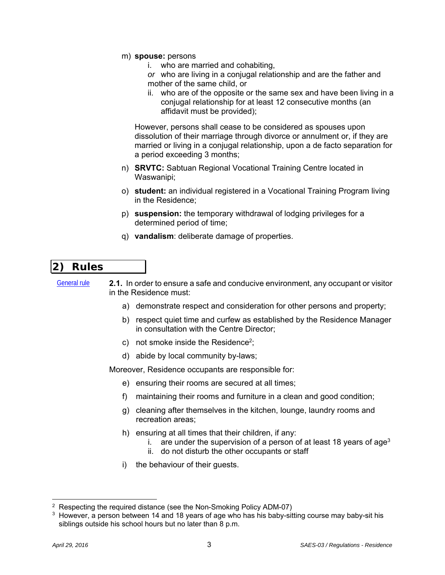- m) **spouse:** persons
	- i. who are married and cohabiting,
	- *or* who are living in a conjugal relationship and are the father and mother of the same child, or
	- ii. who are of the opposite or the same sex and have been living in a conjugal relationship for at least 12 consecutive months (an affidavit must be provided);

However, persons shall cease to be considered as spouses upon dissolution of their marriage through divorce or annulment or, if they are married or living in a conjugal relationship, upon a de facto separation for a period exceeding 3 months;

- n) **SRVTC:** Sabtuan Regional Vocational Training Centre located in Waswanipi;
- o) **student:** an individual registered in a Vocational Training Program living in the Residence;
- p) **suspension:** the temporary withdrawal of lodging privileges for a determined period of time;
- q) **vandalism**: deliberate damage of properties.

# **2) Rules**

General rule **2.1.** In order to ensure a safe and conducive environment, any occupant or visitor in the Residence must:

- a) demonstrate respect and consideration for other persons and property;
- b) respect quiet time and curfew as established by the Residence Manager in consultation with the Centre Director;
- c) not smoke inside the Residence<sup>2</sup>:
- d) abide by local community by-laws;

Moreover, Residence occupants are responsible for:

- e) ensuring their rooms are secured at all times;
- f) maintaining their rooms and furniture in a clean and good condition;
- g) cleaning after themselves in the kitchen, lounge, laundry rooms and recreation areas;
- h) ensuring at all times that their children, if any:
	- i. are under the supervision of a person of at least 18 years of age<sup>3</sup>
	- ii. do not disturb the other occupants or staff
- i) the behaviour of their guests.

<sup>&</sup>lt;sup>2</sup> Respecting the required distance (see the Non-Smoking Policy ADM-07)

<sup>&</sup>lt;sup>3</sup> However, a person between 14 and 18 years of age who has his baby-sitting course may baby-sit his siblings outside his school hours but no later than 8 p.m.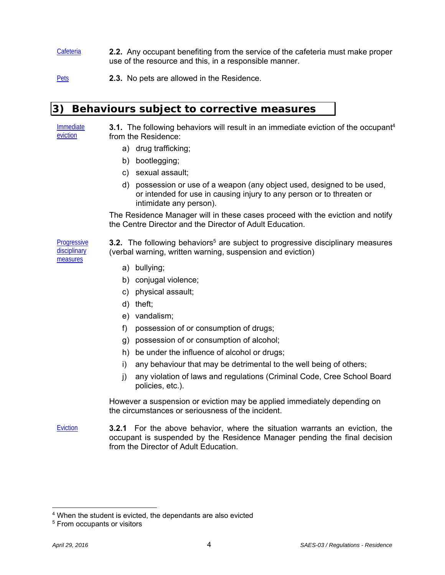Cafeteria **2.2.** Any occupant benefiting from the service of the cafeteria must make proper use of the resource and this, in a responsible manner.

Pets **2.3.** No pets are allowed in the Residence.

#### **3) Behaviours subject to corrective measures**

Immediate eviction

**3.1.** The following behaviors will result in an immediate eviction of the occupant<sup>4</sup> from the Residence:

- a) drug trafficking;
- b) bootlegging;
- c) sexual assault;
- d) possession or use of a weapon (any object used, designed to be used, or intended for use in causing injury to any person or to threaten or intimidate any person).

The Residence Manager will in these cases proceed with the eviction and notify the Centre Director and the Director of Adult Education.

**Progressive** disciplinary measures

**3.2.** The following behaviors<sup>5</sup> are subject to progressive disciplinary measures (verbal warning, written warning, suspension and eviction)

- a) bullying;
- b) conjugal violence;
- c) physical assault;
- d) theft;
- e) vandalism;
- f) possession of or consumption of drugs;
- g) possession of or consumption of alcohol;
- h) be under the influence of alcohol or drugs;
- i) any behaviour that may be detrimental to the well being of others;
- j) any violation of laws and regulations (Criminal Code, Cree School Board policies, etc.).

However a suspension or eviction may be applied immediately depending on the circumstances or seriousness of the incident.

Eviction **3.2.1** For the above behavior, where the situation warrants an eviction, the occupant is suspended by the Residence Manager pending the final decision from the Director of Adult Education.

<sup>4</sup> When the student is evicted, the dependants are also evicted

<sup>5</sup> From occupants or visitors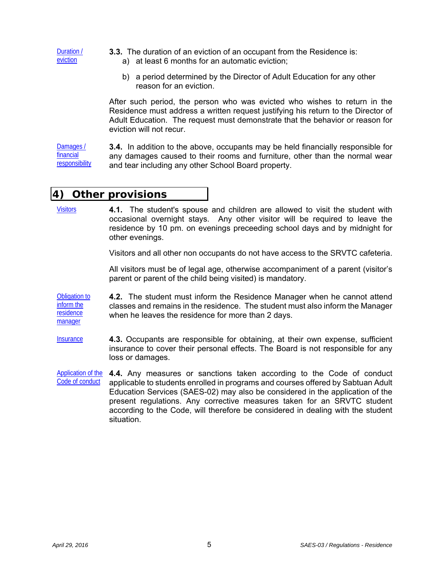Duration / eviction

- **3.3.** The duration of an eviction of an occupant from the Residence is:
	- a) at least 6 months for an automatic eviction;
	- b) a period determined by the Director of Adult Education for any other reason for an eviction.

After such period, the person who was evicted who wishes to return in the Residence must address a written request justifying his return to the Director of Adult Education. The request must demonstrate that the behavior or reason for eviction will not recur.

Damages / financial responsibility **3.4.** In addition to the above, occupants may be held financially responsible for any damages caused to their rooms and furniture, other than the normal wear and tear including any other School Board property.

### **4) Other provisions**

Visitors **4.1.** The student's spouse and children are allowed to visit the student with occasional overnight stays. Any other visitor will be required to leave the residence by 10 pm. on evenings preceeding school days and by midnight for other evenings.

Visitors and all other non occupants do not have access to the SRVTC cafeteria.

All visitors must be of legal age, otherwise accompaniment of a parent (visitor's parent or parent of the child being visited) is mandatory.

Obligation to inform the residence manager **4.2.** The student must inform the Residence Manager when he cannot attend classes and remains in the residence. The student must also inform the Manager when he leaves the residence for more than 2 days.

- Insurance **4.3.** Occupants are responsible for obtaining, at their own expense, sufficient insurance to cover their personal effects. The Board is not responsible for any loss or damages.
- Application of the Code of conduct **4.4.** Any measures or sanctions taken according to the Code of conduct applicable to students enrolled in programs and courses offered by Sabtuan Adult Education Services (SAES-02) may also be considered in the application of the present regulations. Any corrective measures taken for an SRVTC student according to the Code, will therefore be considered in dealing with the student situation.